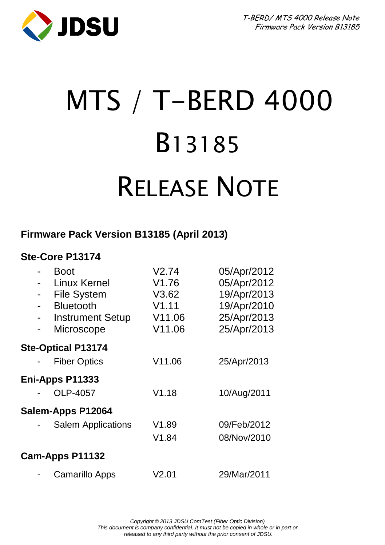

# MTS / T-BERD 4000 B13185 RELEASE NOTE

# **Firmware Pack Version B13185 (April 2013)**

# **Ste-Core P13174**

|                          | <b>Boot</b>               | V2.74  | 05/Apr/2012 |
|--------------------------|---------------------------|--------|-------------|
|                          | Linux Kernel              | V1.76  | 05/Apr/2012 |
| $\overline{\phantom{a}}$ | File System               | V3.62  | 19/Apr/2013 |
| $\blacksquare$           | <b>Bluetooth</b>          | V1.11  | 19/Apr/2010 |
| $\overline{\phantom{a}}$ | <b>Instrument Setup</b>   | V11.06 | 25/Apr/2013 |
| -                        | Microscope                | V11.06 | 25/Apr/2013 |
|                          | <b>Ste-Optical P13174</b> |        |             |
|                          | <b>Fiber Optics</b>       | V11.06 | 25/Apr/2013 |
|                          | Eni-Apps P11333           |        |             |
|                          | OLP-4057                  | V1.18  | 10/Aug/2011 |
|                          | Salem-Apps P12064         |        |             |
|                          | Salem Applications        | V1.89  | 09/Feb/2012 |
|                          |                           | V1.84  | 08/Nov/2010 |
|                          | Cam-Apps P11132           |        |             |
|                          | Camarillo Apps            | V2.01  | 29/Mar/2011 |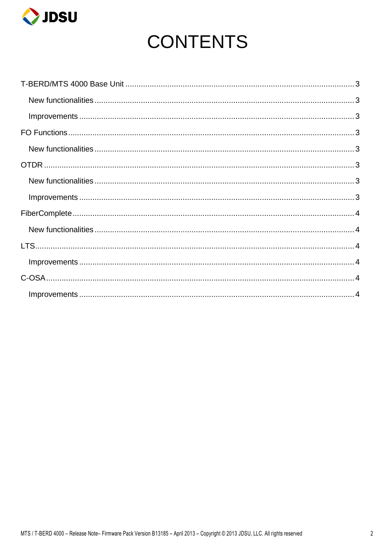

# **CONTENTS**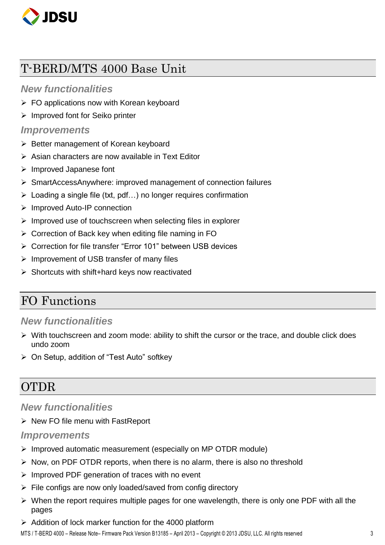

# <span id="page-2-0"></span>T-BERD/MTS 4000 Base Unit

#### <span id="page-2-1"></span>*New functionalities*

- $\triangleright$  FO applications now with Korean keyboard
- $\triangleright$  Improved font for Seiko printer

#### <span id="page-2-2"></span>*Improvements*

- $\triangleright$  Better management of Korean keyboard
- $\triangleright$  Asian characters are now available in Text Editor
- $\triangleright$  Improved Japanese font
- SmartAccessAnywhere: improved management of connection failures
- $\triangleright$  Loading a single file (txt, pdf...) no longer requires confirmation
- ▶ Improved Auto-IP connection
- $\triangleright$  Improved use of touchscreen when selecting files in explorer
- Correction of Back key when editing file naming in FO
- Correction for file transfer "Error 101" between USB devices
- $\triangleright$  Improvement of USB transfer of many files
- $\triangleright$  Shortcuts with shift+hard keys now reactivated

# <span id="page-2-3"></span>FO Functions

#### <span id="page-2-4"></span>*New functionalities*

- $\triangleright$  With touchscreen and zoom mode: ability to shift the cursor or the trace, and double click does undo zoom
- On Setup, addition of "Test Auto" softkey

# <span id="page-2-5"></span>OTDR

### <span id="page-2-6"></span>*New functionalities*

 $\triangleright$  New FO file menu with FastReport

#### <span id="page-2-7"></span>*Improvements*

- $\triangleright$  Improved automatic measurement (especially on MP OTDR module)
- $\triangleright$  Now, on PDF OTDR reports, when there is no alarm, there is also no threshold
- $\triangleright$  Improved PDF generation of traces with no event
- $\triangleright$  File configs are now only loaded/saved from config directory
- $\triangleright$  When the report requires multiple pages for one wavelength, there is only one PDF with all the pages
- $\triangleright$  Addition of lock marker function for the 4000 platform

MTS / T-BERD 4000 – Release Note– Firmware Pack Version B13185 – April 2013 – Copyright © 2013 JDSU, LLC. All rights reserved 3